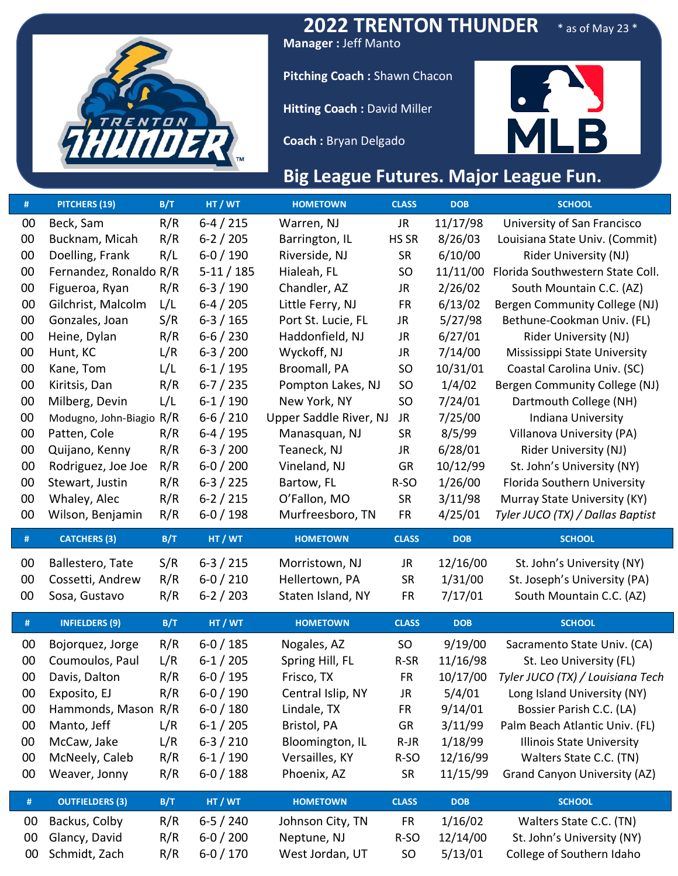

**2022 TRENTON THUNDER** \* as of May 23 \*

**Manager :** Jeff Manto

**Pitching Coach :** Shawn Chacon

**Hitting Coach :** David Miller

**Coach :** Bryan Delgado



## **Big League Futures. Major League Fun.**

| #  | PITCHERS (19)          | B/T | HT / WT       | <b>HOMETOWN</b>        | <b>CLASS</b>    | <b>DOB</b> | <b>SCHOOL</b>                       |
|----|------------------------|-----|---------------|------------------------|-----------------|------------|-------------------------------------|
| 00 | Beck, Sam              | R/R | $6-4/215$     | Warren, NJ             | JR              | 11/17/98   | University of San Francisco         |
| 00 | Bucknam, Micah         | R/R | $6 - 2 / 205$ | Barrington, IL         | HS SR           | 8/26/03    | Louisiana State Univ. (Commit)      |
| 00 | Doelling, Frank        | R/L | $6 - 0 / 190$ | Riverside, NJ          | <b>SR</b>       | 6/10/00    | <b>Rider University (NJ)</b>        |
| 00 | Fernandez, Ronaldo R/R |     | $5-11/185$    | Hialeah, FL            | <b>SO</b>       | 11/11/00   | Florida Southwestern State Coll.    |
| 00 | Figueroa, Ryan         | R/R | $6-3/190$     | Chandler, AZ           | JR              | 2/26/02    | South Mountain C.C. (AZ)            |
| 00 | Gilchrist, Malcolm     | L/L | $6-4/205$     | Little Ferry, NJ       | <b>FR</b>       | 6/13/02    | Bergen Community College (NJ)       |
| 00 | Gonzales, Joan         | S/R | $6-3/165$     | Port St. Lucie, FL     | JR.             | 5/27/98    | Bethune-Cookman Univ. (FL)          |
| 00 | Heine, Dylan           | R/R | $6 - 6 / 230$ | Haddonfield, NJ        | JR              | 6/27/01    | Rider University (NJ)               |
| 00 | Hunt, KC               | L/R | $6 - 3 / 200$ | Wyckoff, NJ            | <b>JR</b>       | 7/14/00    | Mississippi State University        |
| 00 | Kane, Tom              | L/L | $6 - 1 / 195$ | Broomall, PA           | SO <sub>1</sub> | 10/31/01   | Coastal Carolina Univ. (SC)         |
| 00 | Kiritsis, Dan          | R/R | $6 - 7 / 235$ | Pompton Lakes, NJ      | <b>SO</b>       | 1/4/02     | Bergen Community College (NJ)       |
| 00 | Milberg, Devin         | L/L | $6-1/190$     | New York, NY           | <b>SO</b>       | 7/24/01    | Dartmouth College (NH)              |
| 00 | Modugno, John-Biagio   | R/R | $6 - 6 / 210$ | Upper Saddle River, NJ | JR              | 7/25/00    | Indiana University                  |
| 00 | Patten, Cole           | R/R | $6-4/195$     | Manasquan, NJ          | <b>SR</b>       | 8/5/99     | Villanova University (PA)           |
| 00 | Quijano, Kenny         | R/R | $6-3/200$     | Teaneck, NJ            | JR.             | 6/28/01    | Rider University (NJ)               |
| 00 | Rodriguez, Joe Joe     | R/R | $6 - 0 / 200$ | Vineland, NJ           | GR              | 10/12/99   | St. John's University (NY)          |
| 00 | Stewart, Justin        | R/R | $6 - 3 / 225$ | Bartow, FL             | R-SO            | 1/26/00    | Florida Southern University         |
| 00 | Whaley, Alec           | R/R | $6 - 2 / 215$ | O'Fallon, MO           | <b>SR</b>       | 3/11/98    | Murray State University (KY)        |
| 00 | Wilson, Benjamin       | R/R | $6 - 0 / 198$ | Murfreesboro, TN       | <b>FR</b>       | 4/25/01    | Tyler JUCO (TX) / Dallas Baptist    |
|    |                        |     |               |                        |                 |            |                                     |
| #  | <b>CATCHERS (3)</b>    | B/T | HT / WT       | <b>HOMETOWN</b>        | <b>CLASS</b>    | <b>DOB</b> | <b>SCHOOL</b>                       |
|    |                        |     |               |                        |                 |            |                                     |
| 00 | Ballestero, Tate       | S/R | $6 - 3 / 215$ | Morristown, NJ         | JR              | 12/16/00   | St. John's University (NY)          |
| 00 | Cossetti, Andrew       | R/R | $6 - 0 / 210$ | Hellertown, PA         | <b>SR</b>       | 1/31/00    | St. Joseph's University (PA)        |
| 00 | Sosa, Gustavo          | R/R | $6 - 2 / 203$ | Staten Island, NY      | <b>FR</b>       | 7/17/01    | South Mountain C.C. (AZ)            |
| #  | <b>INFIELDERS (9)</b>  | B/T | HT / WT       | <b>HOMETOWN</b>        | <b>CLASS</b>    | <b>DOB</b> | <b>SCHOOL</b>                       |
| 00 | Bojorquez, Jorge       | R/R | $6 - 0 / 185$ | Nogales, AZ            | SO <sub>1</sub> | 9/19/00    | Sacramento State Univ. (CA)         |
| 00 | Coumoulos, Paul        | L/R | $6-1/205$     | Spring Hill, FL        | R-SR            | 11/16/98   | St. Leo University (FL)             |
| 00 | Davis, Dalton          | R/R | $6 - 0 / 195$ | Frisco, TX             | <b>FR</b>       | 10/17/00   | Tyler JUCO (TX) / Louisiana Tech    |
| 00 | Exposito, EJ           | R/R | $6 - 0 / 190$ | Central Islip, NY      | JR              | 5/4/01     | Long Island University (NY)         |
| 00 | Hammonds, Mason        | R/R | $6 - 0 / 180$ | Lindale, TX            | <b>FR</b>       | 9/14/01    | Bossier Parish C.C. (LA)            |
| 00 | Manto, Jeff            | L/R | $6 - 1 / 205$ | Bristol, PA            | GR              | 3/11/99    | Palm Beach Atlantic Univ. (FL)      |
| 00 | McCaw, Jake            | L/R | $6-3/210$     | Bloomington, IL        | $R-JR$          | 1/18/99    | <b>Illinois State University</b>    |
| 00 | McNeely, Caleb         | R/R | $6-1/190$     | Versailles, KY         | R-SO            | 12/16/99   | Walters State C.C. (TN)             |
| 00 | Weaver, Jonny          | R/R | $6 - 0 / 188$ | Phoenix, AZ            | <b>SR</b>       | 11/15/99   | <b>Grand Canyon University (AZ)</b> |
| #  | <b>OUTFIELDERS (3)</b> | B/T | HT / WT       | <b>HOMETOWN</b>        | <b>CLASS</b>    | DOB        | <b>SCHOOL</b>                       |
| 00 | Backus, Colby          | R/R | $6 - 5 / 240$ | Johnson City, TN       | <b>FR</b>       | 1/16/02    | Walters State C.C. (TN)             |
| 00 | Glancy, David          | R/R | $6 - 0 / 200$ | Neptune, NJ            | R-SO            | 12/14/00   | St. John's University (NY)          |